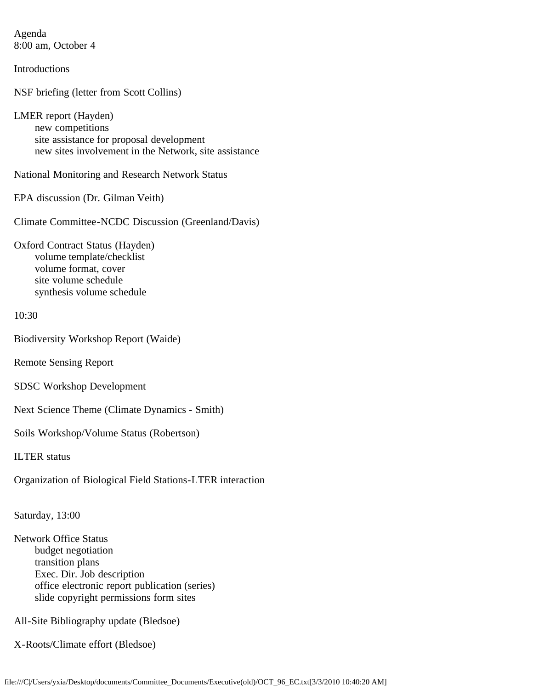Agenda 8:00 am, October 4

**Introductions** 

NSF briefing (letter from Scott Collins)

LMER report (Hayden) new competitions site assistance for proposal development new sites involvement in the Network, site assistance

National Monitoring and Research Network Status

EPA discussion (Dr. Gilman Veith)

Climate Committee-NCDC Discussion (Greenland/Davis)

Oxford Contract Status (Hayden) volume template/checklist volume format, cover site volume schedule synthesis volume schedule

10:30

Biodiversity Workshop Report (Waide)

Remote Sensing Report

SDSC Workshop Development

Next Science Theme (Climate Dynamics - Smith)

Soils Workshop/Volume Status (Robertson)

ILTER status

Organization of Biological Field Stations-LTER interaction

Saturday, 13:00

Network Office Status budget negotiation transition plans Exec. Dir. Job description office electronic report publication (series) slide copyright permissions form sites

All-Site Bibliography update (Bledsoe)

X-Roots/Climate effort (Bledsoe)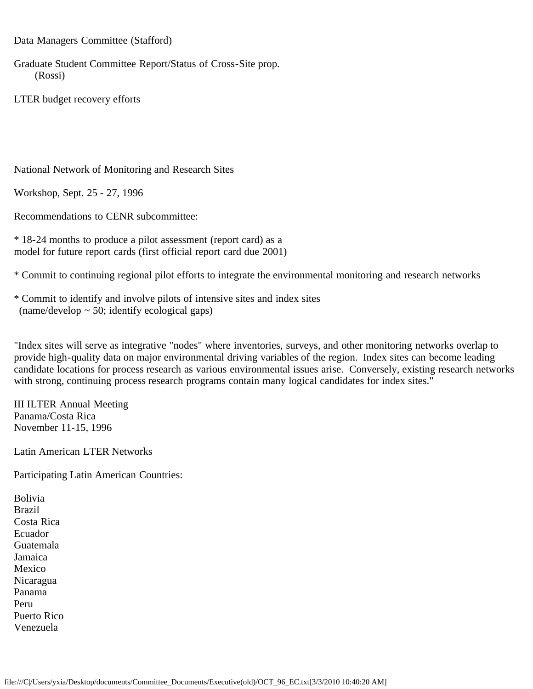Data Managers Committee (Stafford)

Graduate Student Committee Report/Status of Cross-Site prop. (Rossi)

LTER budget recovery efforts

National Network of Monitoring and Research Sites

Workshop, Sept. 25 - 27, 1996

Recommendations to CENR subcommittee:

\* 18-24 months to produce a pilot assessment (report card) as a model for future report cards (first official report card due 2001)

\* Commit to continuing regional pilot efforts to integrate the environmental monitoring and research networks

\* Commit to identify and involve pilots of intensive sites and index sites  $(name/develop ~ 50; identify ecological gaps)$ 

"Index sites will serve as integrative "nodes" where inventories, surveys, and other monitoring networks overlap to provide high-quality data on major environmental driving variables of the region. Index sites can become leading candidate locations for process research as various environmental issues arise. Conversely, existing research networks with strong, continuing process research programs contain many logical candidates for index sites."

III ILTER Annual Meeting Panama/Costa Rica November 11-15, 1996

Latin American LTER Networks

Participating Latin American Countries:

Bolivia Brazil Costa Rica Ecuador Guatemala Jamaica Mexico Nicaragua Panama Peru Puerto Rico Venezuela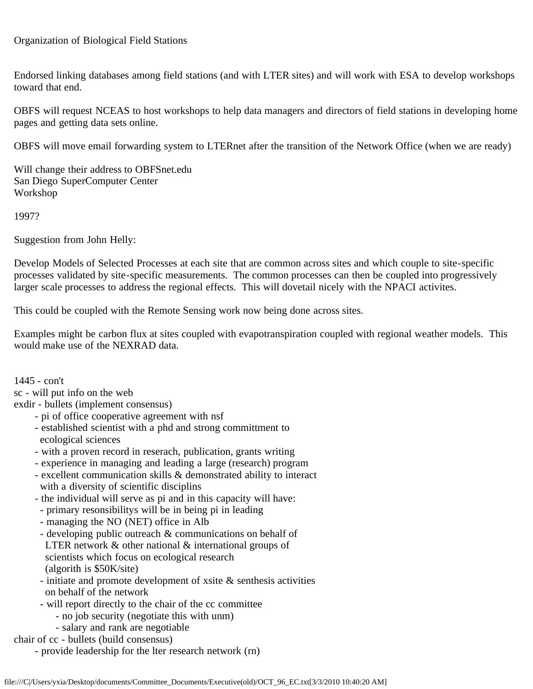## Organization of Biological Field Stations

Endorsed linking databases among field stations (and with LTER sites) and will work with ESA to develop workshops toward that end.

OBFS will request NCEAS to host workshops to help data managers and directors of field stations in developing home pages and getting data sets online.

OBFS will move email forwarding system to LTERnet after the transition of the Network Office (when we are ready)

Will change their address to OBFSnet.edu San Diego SuperComputer Center Workshop

1997?

Suggestion from John Helly:

Develop Models of Selected Processes at each site that are common across sites and which couple to site-specific processes validated by site-specific measurements. The common processes can then be coupled into progressively larger scale processes to address the regional effects. This will dovetail nicely with the NPACI activites.

This could be coupled with the Remote Sensing work now being done across sites.

Examples might be carbon flux at sites coupled with evapotranspiration coupled with regional weather models. This would make use of the NEXRAD data.

1445 - con't

sc - will put info on the web

exdir - bullets (implement consensus)

- pi of office cooperative agreement with nsf
- established scientist with a phd and strong committment to ecological sciences
- with a proven record in reserach, publication, grants writing
- experience in managing and leading a large (research) program
- excellent communication skills & demonstrated ability to interact with a diversity of scientific disciplins
- the individual will serve as pi and in this capacity will have:
- primary resonsibilitys will be in being pi in leading
- managing the NO (NET) office in Alb
- developing public outreach & communications on behalf of LTER network & other national & international groups of scientists which focus on ecological research (algorith is \$50K/site)
- initiate and promote development of xsite & senthesis activities on behalf of the network
- will report directly to the chair of the cc committee
	- no job security (negotiate this with unm)
	- salary and rank are negotiable

chair of cc - bullets (build consensus)

- provide leadership for the lter research network (rn)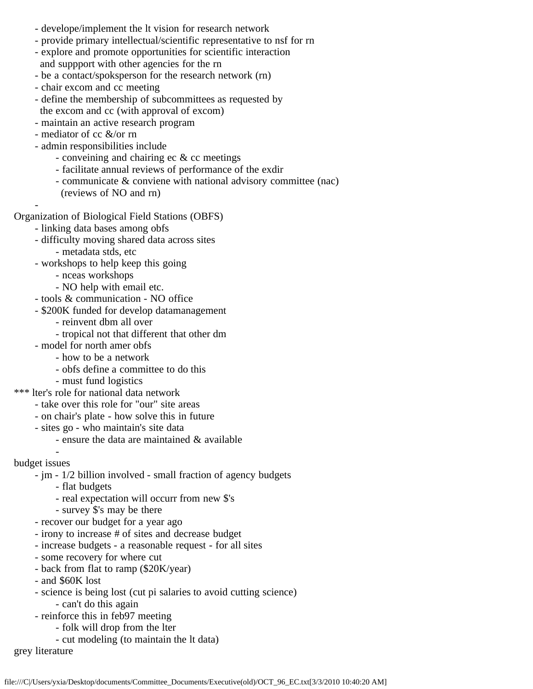- develope/implement the lt vision for research network
- provide primary intellectual/scientific representative to nsf for rn
- explore and promote opportunities for scientific interaction and suppport with other agencies for the rn
- be a contact/spoksperson for the research network (rn)
- chair excom and cc meeting
- define the membership of subcommittees as requested by the excom and cc (with approval of excom)
- maintain an active research program
- mediator of cc &/or rn
- admin responsibilities include
	- conveining and chairing ec & cc meetings
	- facilitate annual reviews of performance of the exdir
	- communicate & conviene with national advisory committee (nac)
	- (reviews of NO and rn)
- $\sim$ Organization of Biological Field Stations (OBFS)
	- linking data bases among obfs
	- difficulty moving shared data across sites
		- metadata stds, etc
	- workshops to help keep this going
		- nceas workshops
		- NO help with email etc.
	- tools & communication NO office
	- \$200K funded for develop datamanagement
		- reinvent dbm all over
		- tropical not that different that other dm
	- model for north amer obfs
		- how to be a network
		- obfs define a committee to do this
		- must fund logistics
- \*\*\* lter's role for national data network
	- take over this role for "our" site areas
	- on chair's plate how solve this in future
	- sites go who maintain's site data
		- ensure the data are maintained & available
- $\sim$   $\sim$   $$ budget issues
	- jm 1/2 billion involved small fraction of agency budgets
		- flat budgets
		- real expectation will occurr from new \$'s
		- survey \$'s may be there
	- recover our budget for a year ago
	- irony to increase # of sites and decrease budget
	- increase budgets a reasonable request for all sites
	- some recovery for where cut
	- back from flat to ramp (\$20K/year)
	- and \$60K lost
	- science is being lost (cut pi salaries to avoid cutting science) - can't do this again
	- reinforce this in feb97 meeting
		- folk will drop from the lter
			- cut modeling (to maintain the lt data)
- grey literature